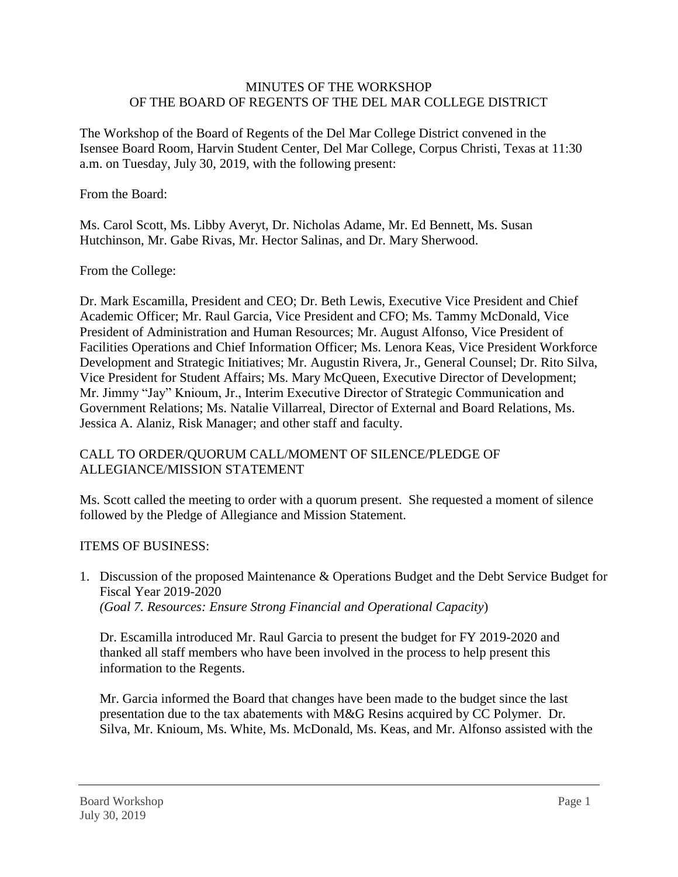## MINUTES OF THE WORKSHOP OF THE BOARD OF REGENTS OF THE DEL MAR COLLEGE DISTRICT

The Workshop of the Board of Regents of the Del Mar College District convened in the Isensee Board Room, Harvin Student Center, Del Mar College, Corpus Christi, Texas at 11:30 a.m. on Tuesday, July 30, 2019, with the following present:

From the Board:

Ms. Carol Scott, Ms. Libby Averyt, Dr. Nicholas Adame, Mr. Ed Bennett, Ms. Susan Hutchinson, Mr. Gabe Rivas, Mr. Hector Salinas, and Dr. Mary Sherwood.

## From the College:

Dr. Mark Escamilla, President and CEO; Dr. Beth Lewis, Executive Vice President and Chief Academic Officer; Mr. Raul Garcia, Vice President and CFO; Ms. Tammy McDonald, Vice President of Administration and Human Resources; Mr. August Alfonso, Vice President of Facilities Operations and Chief Information Officer; Ms. Lenora Keas, Vice President Workforce Development and Strategic Initiatives; Mr. Augustin Rivera, Jr., General Counsel; Dr. Rito Silva, Vice President for Student Affairs; Ms. Mary McQueen, Executive Director of Development; Mr. Jimmy "Jay" Knioum, Jr., Interim Executive Director of Strategic Communication and Government Relations; Ms. Natalie Villarreal, Director of External and Board Relations, Ms. Jessica A. Alaniz, Risk Manager; and other staff and faculty.

## CALL TO ORDER/QUORUM CALL/MOMENT OF SILENCE/PLEDGE OF ALLEGIANCE/MISSION STATEMENT

Ms. Scott called the meeting to order with a quorum present. She requested a moment of silence followed by the Pledge of Allegiance and Mission Statement.

## ITEMS OF BUSINESS:

1. Discussion of the proposed Maintenance & Operations Budget and the Debt Service Budget for Fiscal Year 2019-2020 *(Goal 7. Resources: Ensure Strong Financial and Operational Capacity*)

Dr. Escamilla introduced Mr. Raul Garcia to present the budget for FY 2019-2020 and thanked all staff members who have been involved in the process to help present this information to the Regents.

Mr. Garcia informed the Board that changes have been made to the budget since the last presentation due to the tax abatements with M&G Resins acquired by CC Polymer. Dr. Silva, Mr. Knioum, Ms. White, Ms. McDonald, Ms. Keas, and Mr. Alfonso assisted with the